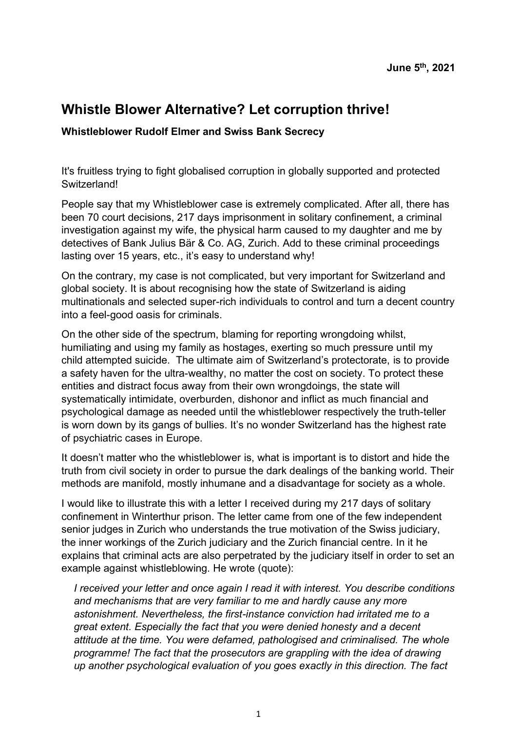# **Whistle Blower Alternative? Let corruption thrive!**

### **Whistleblower Rudolf Elmer and Swiss Bank Secrecy**

It's fruitless trying to fight globalised corruption in globally supported and protected Switzerland!

People say that my Whistleblower case is extremely complicated. After all, there has been 70 court decisions, 217 days imprisonment in solitary confinement, a criminal investigation against my wife, the physical harm caused to my daughter and me by detectives of Bank Julius Bär & Co. AG, Zurich. Add to these criminal proceedings lasting over 15 years, etc., it's easy to understand why!

On the contrary, my case is not complicated, but very important for Switzerland and global society. It is about recognising how the state of Switzerland is aiding multinationals and selected super-rich individuals to control and turn a decent country into a feel-good oasis for criminals.

On the other side of the spectrum, blaming for reporting wrongdoing whilst, humiliating and using my family as hostages, exerting so much pressure until my child attempted suicide. The ultimate aim of Switzerland's protectorate, is to provide a safety haven for the ultra-wealthy, no matter the cost on society. To protect these entities and distract focus away from their own wrongdoings, the state will systematically intimidate, overburden, dishonor and inflict as much financial and psychological damage as needed until the whistleblower respectively the truth-teller is worn down by its gangs of bullies. It's no wonder Switzerland has the highest rate of psychiatric cases in Europe.

It doesn't matter who the whistleblower is, what is important is to distort and hide the truth from civil society in order to pursue the dark dealings of the banking world. Their methods are manifold, mostly inhumane and a disadvantage for society as a whole.

I would like to illustrate this with a letter I received during my 217 days of solitary confinement in Winterthur prison. The letter came from one of the few independent senior judges in Zurich who understands the true motivation of the Swiss judiciary, the inner workings of the Zurich judiciary and the Zurich financial centre. In it he explains that criminal acts are also perpetrated by the judiciary itself in order to set an example against whistleblowing. He wrote (quote):

*I received your letter and once again I read it with interest. You describe conditions and mechanisms that are very familiar to me and hardly cause any more astonishment. Nevertheless, the first-instance conviction had irritated me to a great extent. Especially the fact that you were denied honesty and a decent attitude at the time. You were defamed, pathologised and criminalised. The whole programme! The fact that the prosecutors are grappling with the idea of drawing up another psychological evaluation of you goes exactly in this direction. The fact*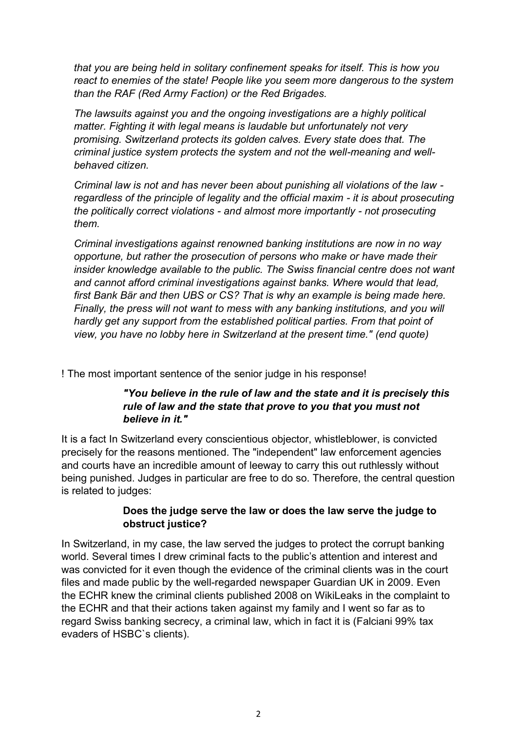*that you are being held in solitary confinement speaks for itself. This is how you react to enemies of the state! People like you seem more dangerous to the system than the RAF (Red Army Faction) or the Red Brigades.*

*The lawsuits against you and the ongoing investigations are a highly political matter. Fighting it with legal means is laudable but unfortunately not very promising. Switzerland protects its golden calves. Every state does that. The criminal justice system protects the system and not the well-meaning and wellbehaved citizen.* 

*Criminal law is not and has never been about punishing all violations of the law regardless of the principle of legality and the official maxim - it is about prosecuting the politically correct violations - and almost more importantly - not prosecuting them.*

*Criminal investigations against renowned banking institutions are now in no way opportune, but rather the prosecution of persons who make or have made their insider knowledge available to the public. The Swiss financial centre does not want and cannot afford criminal investigations against banks. Where would that lead, first Bank Bär and then UBS or CS? That is why an example is being made here. Finally, the press will not want to mess with any banking institutions, and you will hardly get any support from the established political parties. From that point of view, you have no lobby here in Switzerland at the present time." (end quote)*

! The most important sentence of the senior judge in his response!

## *"You believe in the rule of law and the state and it is precisely this rule of law and the state that prove to you that you must not believe in it."*

It is a fact In Switzerland every conscientious objector, whistleblower, is convicted precisely for the reasons mentioned. The "independent" law enforcement agencies and courts have an incredible amount of leeway to carry this out ruthlessly without being punished. Judges in particular are free to do so. Therefore, the central question is related to judges:

### **Does the judge serve the law or does the law serve the judge to obstruct justice?**

In Switzerland, in my case, the law served the judges to protect the corrupt banking world. Several times I drew criminal facts to the public's attention and interest and was convicted for it even though the evidence of the criminal clients was in the court files and made public by the well-regarded newspaper Guardian UK in 2009. Even the ECHR knew the criminal clients published 2008 on WikiLeaks in the complaint to the ECHR and that their actions taken against my family and I went so far as to regard Swiss banking secrecy, a criminal law, which in fact it is (Falciani 99% tax evaders of HSBC`s clients).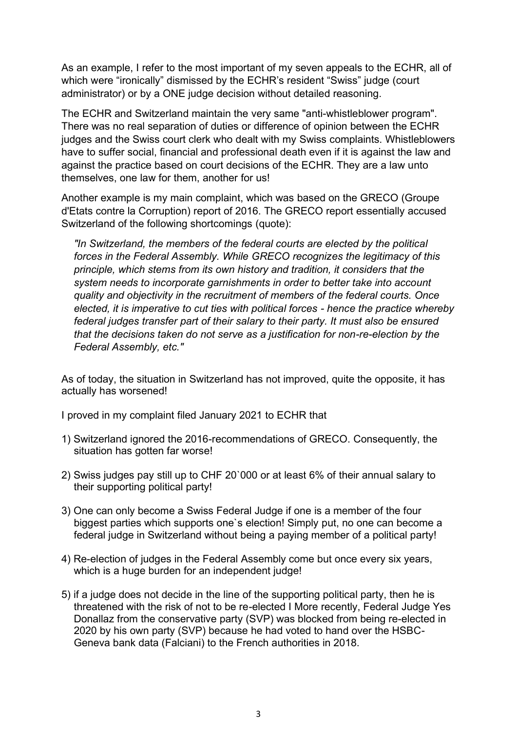As an example, I refer to the most important of my seven appeals to the ECHR, all of which were "ironically" dismissed by the ECHR's resident "Swiss" judge (court administrator) or by a ONE judge decision without detailed reasoning.

The ECHR and Switzerland maintain the very same "anti-whistleblower program". There was no real separation of duties or difference of opinion between the ECHR judges and the Swiss court clerk who dealt with my Swiss complaints. Whistleblowers have to suffer social, financial and professional death even if it is against the law and against the practice based on court decisions of the ECHR. They are a law unto themselves, one law for them, another for us!

Another example is my main complaint, which was based on the GRECO (Groupe d'Etats contre la Corruption) report of 2016. The GRECO report essentially accused Switzerland of the following shortcomings (quote):

*"In Switzerland, the members of the federal courts are elected by the political forces in the Federal Assembly. While GRECO recognizes the legitimacy of this principle, which stems from its own history and tradition, it considers that the system needs to incorporate garnishments in order to better take into account quality and objectivity in the recruitment of members of the federal courts. Once elected, it is imperative to cut ties with political forces - hence the practice whereby federal judges transfer part of their salary to their party. It must also be ensured that the decisions taken do not serve as a justification for non-re-election by the Federal Assembly, etc."* 

As of today, the situation in Switzerland has not improved, quite the opposite, it has actually has worsened!

I proved in my complaint filed January 2021 to ECHR that

- 1) Switzerland ignored the 2016-recommendations of GRECO. Consequently, the situation has gotten far worse!
- 2) Swiss judges pay still up to CHF 20`000 or at least 6% of their annual salary to their supporting political party!
- 3) One can only become a Swiss Federal Judge if one is a member of the four biggest parties which supports one`s election! Simply put, no one can become a federal judge in Switzerland without being a paying member of a political party!
- 4) Re-election of judges in the Federal Assembly come but once every six years, which is a huge burden for an independent judge!
- 5) if a judge does not decide in the line of the supporting political party, then he is threatened with the risk of not to be re-elected I More recently, Federal Judge Yes Donallaz from the conservative party (SVP) was blocked from being re-elected in 2020 by his own party (SVP) because he had voted to hand over the HSBC-Geneva bank data (Falciani) to the French authorities in 2018.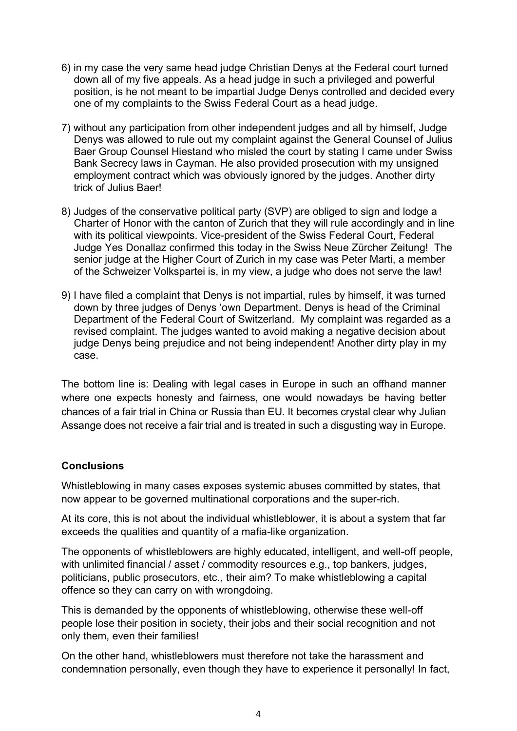- 6) in my case the very same head judge Christian Denys at the Federal court turned down all of my five appeals. As a head judge in such a privileged and powerful position, is he not meant to be impartial Judge Denys controlled and decided every one of my complaints to the Swiss Federal Court as a head judge.
- 7) without any participation from other independent judges and all by himself, Judge Denys was allowed to rule out my complaint against the General Counsel of Julius Baer Group Counsel Hiestand who misled the court by stating I came under Swiss Bank Secrecy laws in Cayman. He also provided prosecution with my unsigned employment contract which was obviously ignored by the judges. Another dirty trick of Julius Baer!
- 8) Judges of the conservative political party (SVP) are obliged to sign and lodge a Charter of Honor with the canton of Zurich that they will rule accordingly and in line with its political viewpoints. Vice-president of the Swiss Federal Court, Federal Judge Yes Donallaz confirmed this today in the Swiss Neue Zürcher Zeitung! The senior judge at the Higher Court of Zurich in my case was Peter Marti, a member of the Schweizer Volkspartei is, in my view, a judge who does not serve the law!
- 9) I have filed a complaint that Denys is not impartial, rules by himself, it was turned down by three judges of Denys 'own Department. Denys is head of the Criminal Department of the Federal Court of Switzerland. My complaint was regarded as a revised complaint. The judges wanted to avoid making a negative decision about judge Denys being prejudice and not being independent! Another dirty play in my case.

The bottom line is: Dealing with legal cases in Europe in such an offhand manner where one expects honesty and fairness, one would nowadays be having better chances of a fair trial in China or Russia than EU. It becomes crystal clear why Julian Assange does not receive a fair trial and is treated in such a disgusting way in Europe.

### **Conclusions**

Whistleblowing in many cases exposes systemic abuses committed by states, that now appear to be governed multinational corporations and the super-rich.

At its core, this is not about the individual whistleblower, it is about a system that far exceeds the qualities and quantity of a mafia-like organization.

The opponents of whistleblowers are highly educated, intelligent, and well-off people, with unlimited financial / asset / commodity resources e.g., top bankers, judges, politicians, public prosecutors, etc., their aim? To make whistleblowing a capital offence so they can carry on with wrongdoing.

This is demanded by the opponents of whistleblowing, otherwise these well-off people lose their position in society, their jobs and their social recognition and not only them, even their families!

On the other hand, whistleblowers must therefore not take the harassment and condemnation personally, even though they have to experience it personally! In fact,